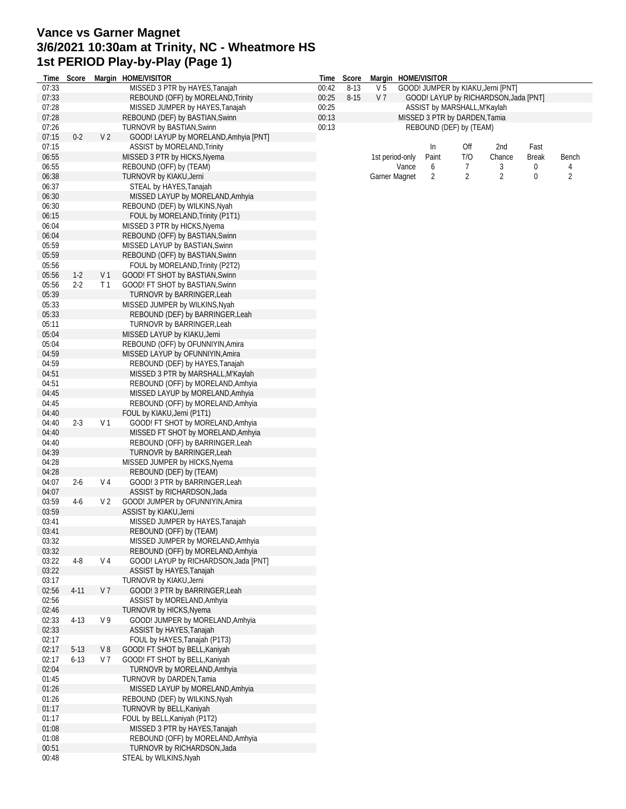## **Vance vs Garner Magnet 3/6/2021 10:30am at Trinity, NC - Wheatmore HS 1st PERIOD Play-by-Play (Page 1)**

| Time           | Score    |                | Margin HOME/VISITOR                                                | Time  | Score    |                |                               | Margin HOME/VISITOR                   |     |                |              |                |  |  |
|----------------|----------|----------------|--------------------------------------------------------------------|-------|----------|----------------|-------------------------------|---------------------------------------|-----|----------------|--------------|----------------|--|--|
| 07:33          |          |                | MISSED 3 PTR by HAYES, Tanajah                                     | 00:42 | $8 - 13$ | V <sub>5</sub> |                               | GOOD! JUMPER by KIAKU, Jerni [PNT]    |     |                |              |                |  |  |
| 07:33          |          |                | REBOUND (OFF) by MORELAND, Trinity                                 | 00:25 | $8 - 15$ | V <sub>7</sub> |                               | GOOD! LAYUP by RICHARDSON, Jada [PNT] |     |                |              |                |  |  |
| 07:28          |          |                | MISSED JUMPER by HAYES, Tanajah                                    | 00:25 |          |                | ASSIST by MARSHALL, M'Kaylah  |                                       |     |                |              |                |  |  |
| 07:28          |          |                | REBOUND (DEF) by BASTIAN, Swinn                                    | 00:13 |          |                | MISSED 3 PTR by DARDEN, Tamia |                                       |     |                |              |                |  |  |
| 07:26          |          |                | <b>TURNOVR by BASTIAN, Swinn</b>                                   | 00:13 |          |                |                               | REBOUND (DEF) by (TEAM)               |     |                |              |                |  |  |
| 07:15          | $0 - 2$  | V <sub>2</sub> | GOOD! LAYUP by MORELAND, Amhyia [PNT]                              |       |          |                |                               |                                       |     |                |              |                |  |  |
| 07:15          |          |                | ASSIST by MORELAND, Trinity                                        |       |          |                |                               | In                                    | Off | 2nd            | Fast         |                |  |  |
| 06:55          |          |                | MISSED 3 PTR by HICKS, Nyema                                       |       |          |                | 1st period-only               | Paint                                 | T/O | Chance         | <b>Break</b> | Bench          |  |  |
| 06:55          |          |                | REBOUND (OFF) by (TEAM)                                            |       |          |                | Vance                         | 6                                     | 7   | 3              | 0            | 4              |  |  |
| 06:38          |          |                | TURNOVR by KIAKU, Jerni                                            |       |          |                | Garner Magnet                 | 2                                     | 2   | $\overline{2}$ | $\bf{0}$     | $\overline{2}$ |  |  |
| 06:37          |          |                | STEAL by HAYES, Tanajah                                            |       |          |                |                               |                                       |     |                |              |                |  |  |
| 06:30          |          |                | MISSED LAYUP by MORELAND, Amhyia                                   |       |          |                |                               |                                       |     |                |              |                |  |  |
| 06:30          |          |                | REBOUND (DEF) by WILKINS, Nyah                                     |       |          |                |                               |                                       |     |                |              |                |  |  |
| 06:15          |          |                | FOUL by MORELAND, Trinity (P1T1)                                   |       |          |                |                               |                                       |     |                |              |                |  |  |
| 06:04          |          |                | MISSED 3 PTR by HICKS, Nyema                                       |       |          |                |                               |                                       |     |                |              |                |  |  |
| 06:04          |          |                | REBOUND (OFF) by BASTIAN, Swinn                                    |       |          |                |                               |                                       |     |                |              |                |  |  |
| 05:59<br>05:59 |          |                | MISSED LAYUP by BASTIAN, Swinn                                     |       |          |                |                               |                                       |     |                |              |                |  |  |
| 05:56          |          |                | REBOUND (OFF) by BASTIAN, Swinn                                    |       |          |                |                               |                                       |     |                |              |                |  |  |
| 05:56          | $1-2$    | V <sub>1</sub> | FOUL by MORELAND, Trinity (P2T2)                                   |       |          |                |                               |                                       |     |                |              |                |  |  |
| 05:56          | $2 - 2$  | T1             | GOOD! FT SHOT by BASTIAN, Swinn<br>GOOD! FT SHOT by BASTIAN, Swinn |       |          |                |                               |                                       |     |                |              |                |  |  |
| 05:39          |          |                | TURNOVR by BARRINGER, Leah                                         |       |          |                |                               |                                       |     |                |              |                |  |  |
| 05:33          |          |                | MISSED JUMPER by WILKINS, Nyah                                     |       |          |                |                               |                                       |     |                |              |                |  |  |
| 05:33          |          |                | REBOUND (DEF) by BARRINGER, Leah                                   |       |          |                |                               |                                       |     |                |              |                |  |  |
| 05:11          |          |                | TURNOVR by BARRINGER, Leah                                         |       |          |                |                               |                                       |     |                |              |                |  |  |
| 05:04          |          |                | MISSED LAYUP by KIAKU, Jerni                                       |       |          |                |                               |                                       |     |                |              |                |  |  |
| 05:04          |          |                | REBOUND (OFF) by OFUNNIYIN, Amira                                  |       |          |                |                               |                                       |     |                |              |                |  |  |
| 04:59          |          |                | MISSED LAYUP by OFUNNIYIN, Amira                                   |       |          |                |                               |                                       |     |                |              |                |  |  |
| 04:59          |          |                | REBOUND (DEF) by HAYES, Tanajah                                    |       |          |                |                               |                                       |     |                |              |                |  |  |
| 04:51          |          |                | MISSED 3 PTR by MARSHALL, M'Kaylah                                 |       |          |                |                               |                                       |     |                |              |                |  |  |
| 04:51          |          |                | REBOUND (OFF) by MORELAND, Amhyia                                  |       |          |                |                               |                                       |     |                |              |                |  |  |
| 04:45          |          |                | MISSED LAYUP by MORELAND, Amhyia                                   |       |          |                |                               |                                       |     |                |              |                |  |  |
| 04:45          |          |                | REBOUND (OFF) by MORELAND, Amhyia                                  |       |          |                |                               |                                       |     |                |              |                |  |  |
| 04:40          |          |                | FOUL by KIAKU, Jerni (P1T1)                                        |       |          |                |                               |                                       |     |                |              |                |  |  |
| 04:40          | $2 - 3$  | V <sub>1</sub> | GOOD! FT SHOT by MORELAND, Amhyia                                  |       |          |                |                               |                                       |     |                |              |                |  |  |
| 04:40          |          |                | MISSED FT SHOT by MORELAND, Amhyia                                 |       |          |                |                               |                                       |     |                |              |                |  |  |
| 04:40          |          |                | REBOUND (OFF) by BARRINGER, Leah                                   |       |          |                |                               |                                       |     |                |              |                |  |  |
| 04:39          |          |                | TURNOVR by BARRINGER, Leah                                         |       |          |                |                               |                                       |     |                |              |                |  |  |
| 04:28          |          |                | MISSED JUMPER by HICKS, Nyema                                      |       |          |                |                               |                                       |     |                |              |                |  |  |
| 04:28          |          |                | REBOUND (DEF) by (TEAM)                                            |       |          |                |                               |                                       |     |                |              |                |  |  |
| 04:07          | $2 - 6$  | V 4            | GOOD! 3 PTR by BARRINGER, Leah                                     |       |          |                |                               |                                       |     |                |              |                |  |  |
| 04:07          |          |                | ASSIST by RICHARDSON, Jada                                         |       |          |                |                               |                                       |     |                |              |                |  |  |
| 03:59          | 4-6      | V <sub>2</sub> | GOOD! JUMPER by OFUNNIYIN, Amira                                   |       |          |                |                               |                                       |     |                |              |                |  |  |
| 03:59          |          |                | ASSIST by KIAKU, Jerni                                             |       |          |                |                               |                                       |     |                |              |                |  |  |
| 03:41          |          |                | MISSED JUMPER by HAYES, Tanajah                                    |       |          |                |                               |                                       |     |                |              |                |  |  |
| 03:41          |          |                | REBOUND (OFF) by (TEAM)                                            |       |          |                |                               |                                       |     |                |              |                |  |  |
| 03:32          |          |                | MISSED JUMPER by MORELAND, Amhyia                                  |       |          |                |                               |                                       |     |                |              |                |  |  |
| 03:32          |          |                | REBOUND (OFF) by MORELAND, Amhyia                                  |       |          |                |                               |                                       |     |                |              |                |  |  |
| 03:22          | $4 - 8$  | V <sub>4</sub> | GOOD! LAYUP by RICHARDSON, Jada [PNT]                              |       |          |                |                               |                                       |     |                |              |                |  |  |
| 03:22          |          |                | ASSIST by HAYES, Tanajah                                           |       |          |                |                               |                                       |     |                |              |                |  |  |
| 03:17          |          |                | TURNOVR by KIAKU, Jerni                                            |       |          |                |                               |                                       |     |                |              |                |  |  |
| 02:56          | $4 - 11$ | V <sub>7</sub> | GOOD! 3 PTR by BARRINGER, Leah                                     |       |          |                |                               |                                       |     |                |              |                |  |  |
| 02:56          |          |                | ASSIST by MORELAND, Amhyia                                         |       |          |                |                               |                                       |     |                |              |                |  |  |
| 02:46          |          |                | TURNOVR by HICKS, Nyema                                            |       |          |                |                               |                                       |     |                |              |                |  |  |
| 02:33          | $4 - 13$ | V 9            | GOOD! JUMPER by MORELAND, Amhyia                                   |       |          |                |                               |                                       |     |                |              |                |  |  |
| 02:33          |          |                | ASSIST by HAYES, Tanajah                                           |       |          |                |                               |                                       |     |                |              |                |  |  |
| 02:17          |          |                | FOUL by HAYES, Tanajah (P1T3)                                      |       |          |                |                               |                                       |     |                |              |                |  |  |
| 02:17          | $5-13$   | V8             | GOOD! FT SHOT by BELL, Kaniyah                                     |       |          |                |                               |                                       |     |                |              |                |  |  |
| 02:17          | $6 - 13$ | V 7            | GOOD! FT SHOT by BELL, Kaniyah                                     |       |          |                |                               |                                       |     |                |              |                |  |  |
| 02:04          |          |                | TURNOVR by MORELAND, Amhyia                                        |       |          |                |                               |                                       |     |                |              |                |  |  |
| 01:45          |          |                | <b>TURNOVR by DARDEN, Tamia</b>                                    |       |          |                |                               |                                       |     |                |              |                |  |  |
| 01:26          |          |                | MISSED LAYUP by MORELAND, Amhyia                                   |       |          |                |                               |                                       |     |                |              |                |  |  |
| 01:26          |          |                | REBOUND (DEF) by WILKINS, Nyah                                     |       |          |                |                               |                                       |     |                |              |                |  |  |
| 01:17<br>01:17 |          |                | TURNOVR by BELL, Kaniyah<br>FOUL by BELL, Kaniyah (P1T2)           |       |          |                |                               |                                       |     |                |              |                |  |  |
| 01:08          |          |                | MISSED 3 PTR by HAYES, Tanajah                                     |       |          |                |                               |                                       |     |                |              |                |  |  |
| 01:08          |          |                | REBOUND (OFF) by MORELAND, Amhyia                                  |       |          |                |                               |                                       |     |                |              |                |  |  |
| 00:51          |          |                | TURNOVR by RICHARDSON, Jada                                        |       |          |                |                               |                                       |     |                |              |                |  |  |
| 00:48          |          |                | STEAL by WILKINS, Nyah                                             |       |          |                |                               |                                       |     |                |              |                |  |  |
|                |          |                |                                                                    |       |          |                |                               |                                       |     |                |              |                |  |  |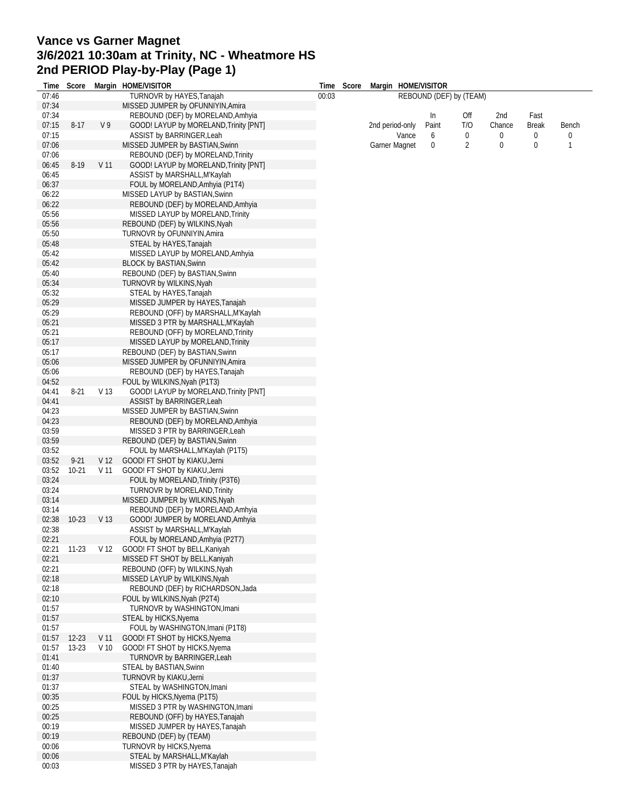## **Vance vs Garner Magnet 3/6/2021 10:30am at Trinity, NC - Wheatmore HS 2nd PERIOD Play-by-Play (Page 1)**

| Time           | Score     |                 | Margin HOME/VISITOR                                                    |       | Time Score | Margin HOME/VISITOR      |                         |          |             |                   |        |
|----------------|-----------|-----------------|------------------------------------------------------------------------|-------|------------|--------------------------|-------------------------|----------|-------------|-------------------|--------|
| 07:46          |           |                 | TURNOVR by HAYES, Tanajah                                              | 00:03 |            |                          | REBOUND (DEF) by (TEAM) |          |             |                   |        |
| 07:34          |           |                 | MISSED JUMPER by OFUNNIYIN, Amira                                      |       |            |                          |                         |          |             |                   |        |
| 07:34          |           |                 | REBOUND (DEF) by MORELAND, Amhyia                                      |       |            |                          | In                      | Off      | 2nd         | Fast              |        |
| 07:15          | $8 - 17$  | V <sub>9</sub>  | GOOD! LAYUP by MORELAND, Trinity [PNT]                                 |       |            | 2nd period-only<br>Vance | Paint<br>6              | T/O<br>0 | Chance<br>0 | <b>Break</b><br>0 | Bench  |
| 07:15<br>07:06 |           |                 | <b>ASSIST by BARRINGER, Leah</b><br>MISSED JUMPER by BASTIAN, Swinn    |       |            | <b>Garner Magnet</b>     | 0                       | 2        | 0           | 0                 | 0<br>1 |
| 07:06          |           |                 | REBOUND (DEF) by MORELAND, Trinity                                     |       |            |                          |                         |          |             |                   |        |
| 06:45          | $8-19$    | V <sub>11</sub> | GOOD! LAYUP by MORELAND, Trinity [PNT]                                 |       |            |                          |                         |          |             |                   |        |
| 06:45          |           |                 | ASSIST by MARSHALL, M'Kaylah                                           |       |            |                          |                         |          |             |                   |        |
| 06:37          |           |                 | FOUL by MORELAND, Amhyia (P1T4)                                        |       |            |                          |                         |          |             |                   |        |
| 06:22          |           |                 | MISSED LAYUP by BASTIAN, Swinn                                         |       |            |                          |                         |          |             |                   |        |
| 06:22          |           |                 | REBOUND (DEF) by MORELAND, Amhyia                                      |       |            |                          |                         |          |             |                   |        |
| 05:56          |           |                 | MISSED LAYUP by MORELAND, Trinity                                      |       |            |                          |                         |          |             |                   |        |
| 05:56          |           |                 | REBOUND (DEF) by WILKINS, Nyah                                         |       |            |                          |                         |          |             |                   |        |
| 05:50          |           |                 | TURNOVR by OFUNNIYIN, Amira                                            |       |            |                          |                         |          |             |                   |        |
| 05:48<br>05:42 |           |                 | STEAL by HAYES, Tanajah                                                |       |            |                          |                         |          |             |                   |        |
| 05:42          |           |                 | MISSED LAYUP by MORELAND, Amhyia<br><b>BLOCK by BASTIAN, Swinn</b>     |       |            |                          |                         |          |             |                   |        |
| 05:40          |           |                 | REBOUND (DEF) by BASTIAN, Swinn                                        |       |            |                          |                         |          |             |                   |        |
| 05:34          |           |                 | TURNOVR by WILKINS, Nyah                                               |       |            |                          |                         |          |             |                   |        |
| 05:32          |           |                 | STEAL by HAYES, Tanajah                                                |       |            |                          |                         |          |             |                   |        |
| 05:29          |           |                 | MISSED JUMPER by HAYES, Tanajah                                        |       |            |                          |                         |          |             |                   |        |
| 05:29          |           |                 | REBOUND (OFF) by MARSHALL, M'Kaylah                                    |       |            |                          |                         |          |             |                   |        |
| 05:21          |           |                 | MISSED 3 PTR by MARSHALL, M'Kaylah                                     |       |            |                          |                         |          |             |                   |        |
| 05:21          |           |                 | REBOUND (OFF) by MORELAND, Trinity                                     |       |            |                          |                         |          |             |                   |        |
| 05:17          |           |                 | MISSED LAYUP by MORELAND, Trinity                                      |       |            |                          |                         |          |             |                   |        |
| 05:17          |           |                 | REBOUND (DEF) by BASTIAN, Swinn                                        |       |            |                          |                         |          |             |                   |        |
| 05:06          |           |                 | MISSED JUMPER by OFUNNIYIN, Amira                                      |       |            |                          |                         |          |             |                   |        |
| 05:06          |           |                 | REBOUND (DEF) by HAYES, Tanajah                                        |       |            |                          |                         |          |             |                   |        |
| 04:52<br>04:41 | $8 - 21$  | V 13            | FOUL by WILKINS, Nyah (P1T3)<br>GOOD! LAYUP by MORELAND, Trinity [PNT] |       |            |                          |                         |          |             |                   |        |
| 04:41          |           |                 | ASSIST by BARRINGER, Leah                                              |       |            |                          |                         |          |             |                   |        |
| 04:23          |           |                 | MISSED JUMPER by BASTIAN, Swinn                                        |       |            |                          |                         |          |             |                   |        |
| 04:23          |           |                 | REBOUND (DEF) by MORELAND, Amhyia                                      |       |            |                          |                         |          |             |                   |        |
| 03:59          |           |                 | MISSED 3 PTR by BARRINGER, Leah                                        |       |            |                          |                         |          |             |                   |        |
| 03:59          |           |                 | REBOUND (DEF) by BASTIAN, Swinn                                        |       |            |                          |                         |          |             |                   |        |
| 03:52          |           |                 | FOUL by MARSHALL, M'Kaylah (P1T5)                                      |       |            |                          |                         |          |             |                   |        |
| 03:52          | $9 - 21$  | V <sub>12</sub> | GOOD! FT SHOT by KIAKU, Jerni                                          |       |            |                          |                         |          |             |                   |        |
| 03:52          | $10 - 21$ | V 11            | GOOD! FT SHOT by KIAKU, Jerni                                          |       |            |                          |                         |          |             |                   |        |
| 03:24<br>03:24 |           |                 | FOUL by MORELAND, Trinity (P3T6)                                       |       |            |                          |                         |          |             |                   |        |
| 03:14          |           |                 | TURNOVR by MORELAND, Trinity<br>MISSED JUMPER by WILKINS, Nyah         |       |            |                          |                         |          |             |                   |        |
| 03:14          |           |                 | REBOUND (DEF) by MORELAND, Amhyia                                      |       |            |                          |                         |          |             |                   |        |
| 02:38          | $10-23$   | V 13            | GOOD! JUMPER by MORELAND, Amhyia                                       |       |            |                          |                         |          |             |                   |        |
| 02:38          |           |                 | ASSIST by MARSHALL, M'Kaylah                                           |       |            |                          |                         |          |             |                   |        |
| 02:21          |           |                 | FOUL by MORELAND, Amhyia (P2T7)                                        |       |            |                          |                         |          |             |                   |        |
| 02:21          | $11-23$   | V <sub>12</sub> | GOOD! FT SHOT by BELL, Kaniyah                                         |       |            |                          |                         |          |             |                   |        |
| 02:21          |           |                 | MISSED FT SHOT by BELL, Kaniyah                                        |       |            |                          |                         |          |             |                   |        |
| 02:21          |           |                 | REBOUND (OFF) by WILKINS, Nyah                                         |       |            |                          |                         |          |             |                   |        |
| 02:18          |           |                 | MISSED LAYUP by WILKINS, Nyah                                          |       |            |                          |                         |          |             |                   |        |
| 02:18<br>02:10 |           |                 | REBOUND (DEF) by RICHARDSON, Jada                                      |       |            |                          |                         |          |             |                   |        |
| 01:57          |           |                 | FOUL by WILKINS, Nyah (P2T4)<br>TURNOVR by WASHINGTON, Imani           |       |            |                          |                         |          |             |                   |        |
| 01:57          |           |                 | STEAL by HICKS, Nyema                                                  |       |            |                          |                         |          |             |                   |        |
| 01:57          |           |                 | FOUL by WASHINGTON, Imani (P1T8)                                       |       |            |                          |                         |          |             |                   |        |
| 01:57          | $12 - 23$ | V 11            | GOOD! FT SHOT by HICKS, Nyema                                          |       |            |                          |                         |          |             |                   |        |
| 01:57          | $13 - 23$ | V <sub>10</sub> | GOOD! FT SHOT by HICKS, Nyema                                          |       |            |                          |                         |          |             |                   |        |
| 01:41          |           |                 | TURNOVR by BARRINGER, Leah                                             |       |            |                          |                         |          |             |                   |        |
| 01:40          |           |                 | STEAL by BASTIAN, Swinn                                                |       |            |                          |                         |          |             |                   |        |
| 01:37          |           |                 | TURNOVR by KIAKU, Jerni                                                |       |            |                          |                         |          |             |                   |        |
| 01:37          |           |                 | STEAL by WASHINGTON, Imani                                             |       |            |                          |                         |          |             |                   |        |
| 00:35          |           |                 | FOUL by HICKS, Nyema (P1T5)                                            |       |            |                          |                         |          |             |                   |        |
| 00:25<br>00:25 |           |                 | MISSED 3 PTR by WASHINGTON, Imani                                      |       |            |                          |                         |          |             |                   |        |
| 00:19          |           |                 | REBOUND (OFF) by HAYES, Tanajah<br>MISSED JUMPER by HAYES, Tanajah     |       |            |                          |                         |          |             |                   |        |
| 00:19          |           |                 | REBOUND (DEF) by (TEAM)                                                |       |            |                          |                         |          |             |                   |        |
| 00:06          |           |                 | TURNOVR by HICKS, Nyema                                                |       |            |                          |                         |          |             |                   |        |
| 00:06          |           |                 | STEAL by MARSHALL, M'Kaylah                                            |       |            |                          |                         |          |             |                   |        |
| 00:03          |           |                 | MISSED 3 PTR by HAYES, Tanajah                                         |       |            |                          |                         |          |             |                   |        |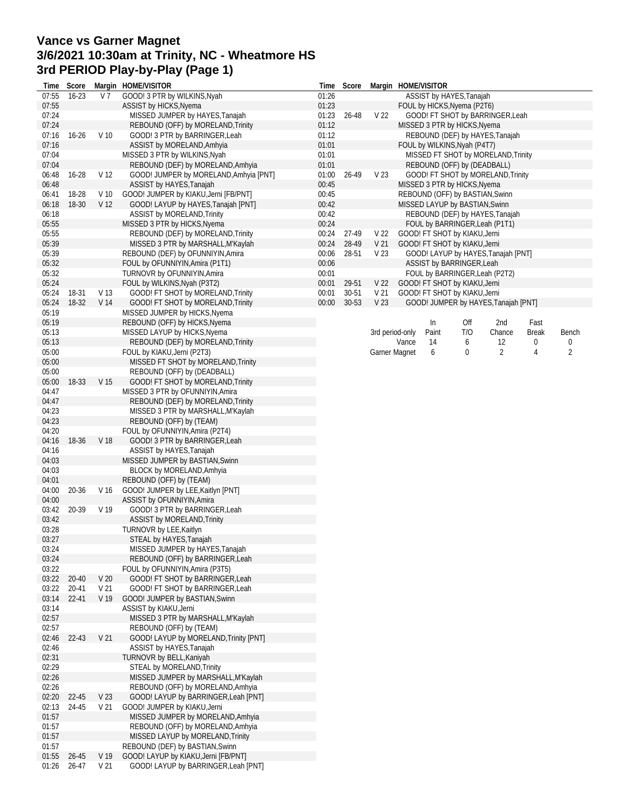## **Vance vs Garner Magnet 3/6/2021 10:30am at Trinity, NC - Wheatmore HS 3rd PERIOD Play-by-Play (Page 1)**

| Time           | Score     |                                    | Margin HOME/VISITOR                                                       | Time           | Score          |                         | Margin HOME/VISITOR |       |                                                                |                                      |       |       |
|----------------|-----------|------------------------------------|---------------------------------------------------------------------------|----------------|----------------|-------------------------|---------------------|-------|----------------------------------------------------------------|--------------------------------------|-------|-------|
| 07:55          | $16 - 23$ | V 7                                | GOOD! 3 PTR by WILKINS, Nyah                                              | 01:26          |                |                         |                     |       | ASSIST by HAYES, Tanajah                                       |                                      |       |       |
| 07:55          |           |                                    | ASSIST by HICKS, Nyema                                                    | 01:23          |                |                         |                     |       | FOUL by HICKS, Nyema (P2T6)                                    |                                      |       |       |
| 07:24          |           |                                    | MISSED JUMPER by HAYES, Tanajah                                           | 01:23          | 26-48          | V <sub>22</sub>         |                     |       |                                                                | GOOD! FT SHOT by BARRINGER, Leah     |       |       |
| 07:24<br>07:16 | $16 - 26$ | V <sub>10</sub>                    | REBOUND (OFF) by MORELAND, Trinity<br>GOOD! 3 PTR by BARRINGER, Leah      | 01:12<br>01:12 |                |                         |                     |       | MISSED 3 PTR by HICKS, Nyema                                   | REBOUND (DEF) by HAYES, Tanajah      |       |       |
| 07:16          |           |                                    | ASSIST by MORELAND, Amhyia                                                | 01:01          |                |                         |                     |       | FOUL by WILKINS, Nyah (P4T7)                                   |                                      |       |       |
| 07:04          |           |                                    | MISSED 3 PTR by WILKINS, Nyah                                             | 01:01          |                |                         |                     |       |                                                                | MISSED FT SHOT by MORELAND, Trinity  |       |       |
| 07:04          |           |                                    | REBOUND (DEF) by MORELAND, Amhyia                                         | 01:01          |                |                         |                     |       | REBOUND (OFF) by (DEADBALL)                                    |                                      |       |       |
| 06:48          | 16-28     | V <sub>12</sub>                    | GOOD! JUMPER by MORELAND, Amhyia [PNT]                                    | 01:00          | 26-49          | V <sub>23</sub>         |                     |       |                                                                | GOOD! FT SHOT by MORELAND, Trinity   |       |       |
| 06:48          |           |                                    | ASSIST by HAYES, Tanajah                                                  | 00:45          |                |                         |                     |       | MISSED 3 PTR by HICKS, Nyema                                   |                                      |       |       |
| 06:41          | 18-28     | V 10                               | GOOD! JUMPER by KIAKU, Jerni [FB/PNT]                                     | 00:45          |                |                         |                     |       | REBOUND (OFF) by BASTIAN, Swinn                                |                                      |       |       |
| 06:18          | 18-30     | V <sub>12</sub>                    | GOOD! LAYUP by HAYES, Tanajah [PNT]                                       | 00:42          |                |                         |                     |       | MISSED LAYUP by BASTIAN, Swinn                                 |                                      |       |       |
| 06:18          |           |                                    | <b>ASSIST by MORELAND, Trinity</b>                                        | 00:42          |                |                         |                     |       |                                                                | REBOUND (DEF) by HAYES, Tanajah      |       |       |
| 05:55          |           |                                    | MISSED 3 PTR by HICKS, Nyema                                              | 00:24          |                |                         |                     |       |                                                                | FOUL by BARRINGER, Leah (P1T1)       |       |       |
| 05:55<br>05:39 |           |                                    | REBOUND (DEF) by MORELAND, Trinity<br>MISSED 3 PTR by MARSHALL, M'Kaylah  | 00:24<br>00:24 | 27-49<br>28-49 | V 22<br>V <sub>21</sub> |                     |       | GOOD! FT SHOT by KIAKU, Jerni<br>GOOD! FT SHOT by KIAKU, Jerni |                                      |       |       |
| 05:39          |           |                                    | REBOUND (DEF) by OFUNNIYIN, Amira                                         | 00:06          | 28-51          | V <sub>23</sub>         |                     |       |                                                                | GOOD! LAYUP by HAYES, Tanajah [PNT]  |       |       |
| 05:32          |           |                                    | FOUL by OFUNNIYIN, Amira (P1T1)                                           | 00:06          |                |                         |                     |       | ASSIST by BARRINGER, Leah                                      |                                      |       |       |
| 05:32          |           |                                    | TURNOVR by OFUNNIYIN, Amira                                               | 00:01          |                |                         |                     |       |                                                                | FOUL by BARRINGER, Leah (P2T2)       |       |       |
| 05:24          |           |                                    | FOUL by WILKINS, Nyah (P3T2)                                              | 00:01          | 29-51          | V <sub>22</sub>         |                     |       | GOOD! FT SHOT by KIAKU, Jerni                                  |                                      |       |       |
| 05:24          | 18-31     | V <sub>13</sub>                    | GOOD! FT SHOT by MORELAND, Trinity                                        | 00:01          | $30 - 51$      | V <sub>21</sub>         |                     |       | GOOD! FT SHOT by KIAKU, Jerni                                  |                                      |       |       |
| 05:24          | 18-32     | V 14                               | GOOD! FT SHOT by MORELAND, Trinity                                        | 00:00          | 30-53          | V <sub>23</sub>         |                     |       |                                                                | GOOD! JUMPER by HAYES, Tanajah [PNT] |       |       |
| 05:19          |           |                                    | MISSED JUMPER by HICKS, Nyema                                             |                |                |                         |                     |       |                                                                |                                      |       |       |
| 05:19          |           |                                    | REBOUND (OFF) by HICKS, Nyema                                             |                |                |                         |                     | In    | Off                                                            | 2nd                                  | Fast  |       |
| 05:13          |           |                                    | MISSED LAYUP by HICKS, Nyema                                              |                |                | 3rd period-only         |                     | Paint | T/O                                                            | Chance                               | Break | Bench |
| 05:13          |           |                                    | REBOUND (DEF) by MORELAND, Trinity                                        |                |                |                         | Vance               | 14    | 6                                                              | 12<br>$\overline{2}$                 | 0     | 0     |
| 05:00<br>05:00 |           |                                    | FOUL by KIAKU, Jerni (P2T3)<br>MISSED FT SHOT by MORELAND, Trinity        |                |                | Garner Magnet           |                     | 6     | 0                                                              |                                      | 4     | 2     |
| 05:00          |           |                                    | REBOUND (OFF) by (DEADBALL)                                               |                |                |                         |                     |       |                                                                |                                      |       |       |
| 05:00          | 18-33     | V 15                               | GOOD! FT SHOT by MORELAND, Trinity                                        |                |                |                         |                     |       |                                                                |                                      |       |       |
| 04:47          |           |                                    | MISSED 3 PTR by OFUNNIYIN, Amira                                          |                |                |                         |                     |       |                                                                |                                      |       |       |
| 04:47          |           |                                    | REBOUND (DEF) by MORELAND, Trinity                                        |                |                |                         |                     |       |                                                                |                                      |       |       |
| 04:23          |           |                                    | MISSED 3 PTR by MARSHALL, M'Kaylah                                        |                |                |                         |                     |       |                                                                |                                      |       |       |
| 04:23          |           |                                    | REBOUND (OFF) by (TEAM)                                                   |                |                |                         |                     |       |                                                                |                                      |       |       |
| 04:20          |           |                                    | FOUL by OFUNNIYIN, Amira (P2T4)                                           |                |                |                         |                     |       |                                                                |                                      |       |       |
| 04:16          | 18-36     | V 18                               | GOOD! 3 PTR by BARRINGER, Leah                                            |                |                |                         |                     |       |                                                                |                                      |       |       |
| 04:16          |           |                                    | ASSIST by HAYES, Tanajah                                                  |                |                |                         |                     |       |                                                                |                                      |       |       |
| 04:03<br>04:03 |           |                                    | MISSED JUMPER by BASTIAN, Swinn<br>BLOCK by MORELAND, Amhyia              |                |                |                         |                     |       |                                                                |                                      |       |       |
| 04:01          |           |                                    | REBOUND (OFF) by (TEAM)                                                   |                |                |                         |                     |       |                                                                |                                      |       |       |
| 04:00          | 20-36     | V 16                               | GOOD! JUMPER by LEE, Kaitlyn [PNT]                                        |                |                |                         |                     |       |                                                                |                                      |       |       |
| 04:00          |           |                                    | ASSIST by OFUNNIYIN, Amira                                                |                |                |                         |                     |       |                                                                |                                      |       |       |
| 03:42          | 20-39     | V <sub>19</sub>                    | GOOD! 3 PTR by BARRINGER, Leah                                            |                |                |                         |                     |       |                                                                |                                      |       |       |
| 03:42          |           |                                    | ASSIST by MORELAND, Trinity                                               |                |                |                         |                     |       |                                                                |                                      |       |       |
| 03:28          |           |                                    | TURNOVR by LEE, Kaitlyn                                                   |                |                |                         |                     |       |                                                                |                                      |       |       |
| 03:27          |           |                                    | STEAL by HAYES, Tanajah                                                   |                |                |                         |                     |       |                                                                |                                      |       |       |
| 03:24          |           |                                    | MISSED JUMPER by HAYES, Tanajah                                           |                |                |                         |                     |       |                                                                |                                      |       |       |
| 03:24          |           |                                    | REBOUND (OFF) by BARRINGER, Leah                                          |                |                |                         |                     |       |                                                                |                                      |       |       |
| 03:22<br>03:22 | $20 - 40$ |                                    | FOUL by OFUNNIYIN, Amira (P3T5)<br>GOOD! FT SHOT by BARRINGER, Leah       |                |                |                         |                     |       |                                                                |                                      |       |       |
| 03:22          | 20-41     | V <sub>20</sub><br>V <sub>21</sub> | GOOD! FT SHOT by BARRINGER, Leah                                          |                |                |                         |                     |       |                                                                |                                      |       |       |
| 03:14          | $22 - 41$ | V <sub>19</sub>                    | GOOD! JUMPER by BASTIAN, Swinn                                            |                |                |                         |                     |       |                                                                |                                      |       |       |
| 03:14          |           |                                    | ASSIST by KIAKU, Jerni                                                    |                |                |                         |                     |       |                                                                |                                      |       |       |
| 02:57          |           |                                    | MISSED 3 PTR by MARSHALL, M'Kaylah                                        |                |                |                         |                     |       |                                                                |                                      |       |       |
| 02:57          |           |                                    | REBOUND (OFF) by (TEAM)                                                   |                |                |                         |                     |       |                                                                |                                      |       |       |
| 02:46          | 22-43     | V <sub>21</sub>                    | GOOD! LAYUP by MORELAND, Trinity [PNT]                                    |                |                |                         |                     |       |                                                                |                                      |       |       |
| 02:46          |           |                                    | ASSIST by HAYES, Tanajah                                                  |                |                |                         |                     |       |                                                                |                                      |       |       |
| 02:31          |           |                                    | TURNOVR by BELL, Kaniyah                                                  |                |                |                         |                     |       |                                                                |                                      |       |       |
| 02:29          |           |                                    | <b>STEAL by MORELAND, Trinity</b>                                         |                |                |                         |                     |       |                                                                |                                      |       |       |
| 02:26          |           |                                    | MISSED JUMPER by MARSHALL, M'Kaylah                                       |                |                |                         |                     |       |                                                                |                                      |       |       |
| 02:26<br>02:20 | 22-45     | V <sub>23</sub>                    | REBOUND (OFF) by MORELAND, Amhyia<br>GOOD! LAYUP by BARRINGER, Leah [PNT] |                |                |                         |                     |       |                                                                |                                      |       |       |
| 02:13          | 24-45     | V 21                               | GOOD! JUMPER by KIAKU, Jerni                                              |                |                |                         |                     |       |                                                                |                                      |       |       |
| 01:57          |           |                                    | MISSED JUMPER by MORELAND, Amhyia                                         |                |                |                         |                     |       |                                                                |                                      |       |       |
| 01:57          |           |                                    | REBOUND (OFF) by MORELAND, Amhyia                                         |                |                |                         |                     |       |                                                                |                                      |       |       |
| 01:57          |           |                                    | MISSED LAYUP by MORELAND, Trinity                                         |                |                |                         |                     |       |                                                                |                                      |       |       |
| 01:57          |           |                                    | REBOUND (DEF) by BASTIAN, Swinn                                           |                |                |                         |                     |       |                                                                |                                      |       |       |
| 01:55          | 26-45     | V <sub>19</sub>                    | GOOD! LAYUP by KIAKU, Jerni [FB/PNT]                                      |                |                |                         |                     |       |                                                                |                                      |       |       |
| 01:26          | 26-47     | V <sub>21</sub>                    | GOOD! LAYUP by BARRINGER, Leah [PNT]                                      |                |                |                         |                     |       |                                                                |                                      |       |       |